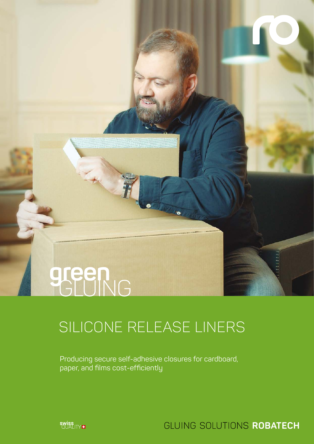# green

## SILICONE RELEASE LINERS

Producing secure self-adhesive closures for cardboard, paper, and films cost-efficiently



GLUING SOLUTIONS ROBATECH